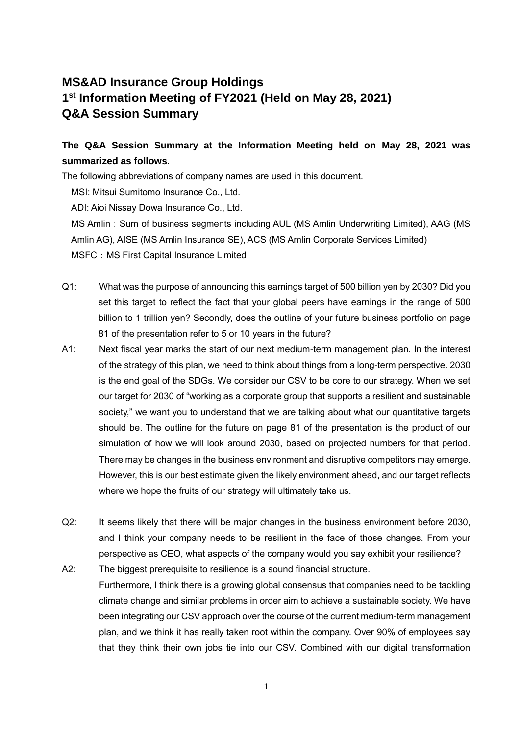## **MS&AD Insurance Group Holdings 1 st Information Meeting of FY2021 (Held on May 28, 2021) Q&A Session Summary**

## **The Q&A Session Summary at the Information Meeting held on May 28, 2021 was summarized as follows.**

The following abbreviations of company names are used in this document.

MSI: Mitsui Sumitomo Insurance Co., Ltd.

ADI: Aioi Nissay Dowa Insurance Co., Ltd.

MS Amlin: Sum of business segments including AUL (MS Amlin Underwriting Limited), AAG (MS Amlin AG), AISE (MS Amlin Insurance SE), ACS (MS Amlin Corporate Services Limited) MSFC: MS First Capital Insurance Limited

- Q1: What was the purpose of announcing this earnings target of 500 billion yen by 2030? Did you set this target to reflect the fact that your global peers have earnings in the range of 500 billion to 1 trillion yen? Secondly, does the outline of your future business portfolio on page 81 of the presentation refer to 5 or 10 years in the future?
- A1: Next fiscal year marks the start of our next medium-term management plan. In the interest of the strategy of this plan, we need to think about things from a long-term perspective. 2030 is the end goal of the SDGs. We consider our CSV to be core to our strategy. When we set our target for 2030 of "working as a corporate group that supports a resilient and sustainable society," we want you to understand that we are talking about what our quantitative targets should be. The outline for the future on page 81 of the presentation is the product of our simulation of how we will look around 2030, based on projected numbers for that period. There may be changes in the business environment and disruptive competitors may emerge. However, this is our best estimate given the likely environment ahead, and our target reflects where we hope the fruits of our strategy will ultimately take us.
- Q2: It seems likely that there will be major changes in the business environment before 2030, and I think your company needs to be resilient in the face of those changes. From your perspective as CEO, what aspects of the company would you say exhibit your resilience?
- A2: The biggest prerequisite to resilience is a sound financial structure. Furthermore, I think there is a growing global consensus that companies need to be tackling climate change and similar problems in order aim to achieve a sustainable society. We have been integrating our CSV approach over the course of the current medium-term management plan, and we think it has really taken root within the company. Over 90% of employees say that they think their own jobs tie into our CSV. Combined with our digital transformation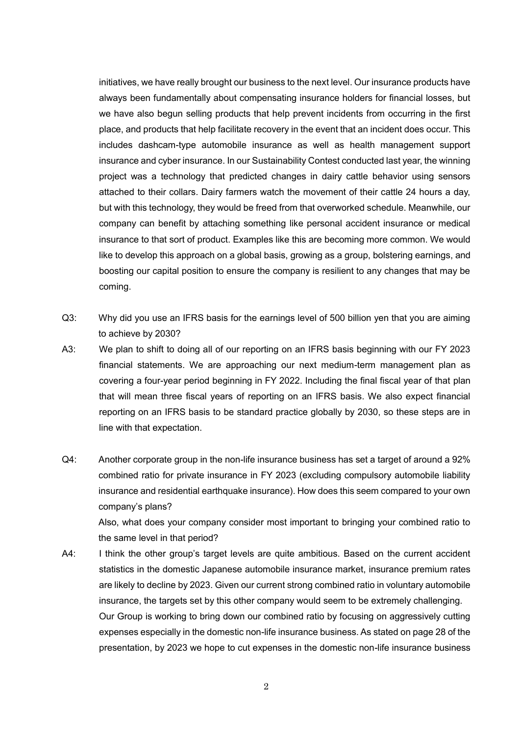initiatives, we have really brought our business to the next level. Our insurance products have always been fundamentally about compensating insurance holders for financial losses, but we have also begun selling products that help prevent incidents from occurring in the first place, and products that help facilitate recovery in the event that an incident does occur. This includes dashcam-type automobile insurance as well as health management support insurance and cyber insurance. In our Sustainability Contest conducted last year, the winning project was a technology that predicted changes in dairy cattle behavior using sensors attached to their collars. Dairy farmers watch the movement of their cattle 24 hours a day, but with this technology, they would be freed from that overworked schedule. Meanwhile, our company can benefit by attaching something like personal accident insurance or medical insurance to that sort of product. Examples like this are becoming more common. We would like to develop this approach on a global basis, growing as a group, bolstering earnings, and boosting our capital position to ensure the company is resilient to any changes that may be coming.

- Q3: Why did you use an IFRS basis for the earnings level of 500 billion yen that you are aiming to achieve by 2030?
- A3: We plan to shift to doing all of our reporting on an IFRS basis beginning with our FY 2023 financial statements. We are approaching our next medium-term management plan as covering a four-year period beginning in FY 2022. Including the final fiscal year of that plan that will mean three fiscal years of reporting on an IFRS basis. We also expect financial reporting on an IFRS basis to be standard practice globally by 2030, so these steps are in line with that expectation.
- Q4: Another corporate group in the non-life insurance business has set a target of around a 92% combined ratio for private insurance in FY 2023 (excluding compulsory automobile liability insurance and residential earthquake insurance). How does this seem compared to your own company's plans?

Also, what does your company consider most important to bringing your combined ratio to the same level in that period?

A4: I think the other group's target levels are quite ambitious. Based on the current accident statistics in the domestic Japanese automobile insurance market, insurance premium rates are likely to decline by 2023. Given our current strong combined ratio in voluntary automobile insurance, the targets set by this other company would seem to be extremely challenging. Our Group is working to bring down our combined ratio by focusing on aggressively cutting expenses especially in the domestic non-life insurance business. As stated on page 28 of the presentation, by 2023 we hope to cut expenses in the domestic non-life insurance business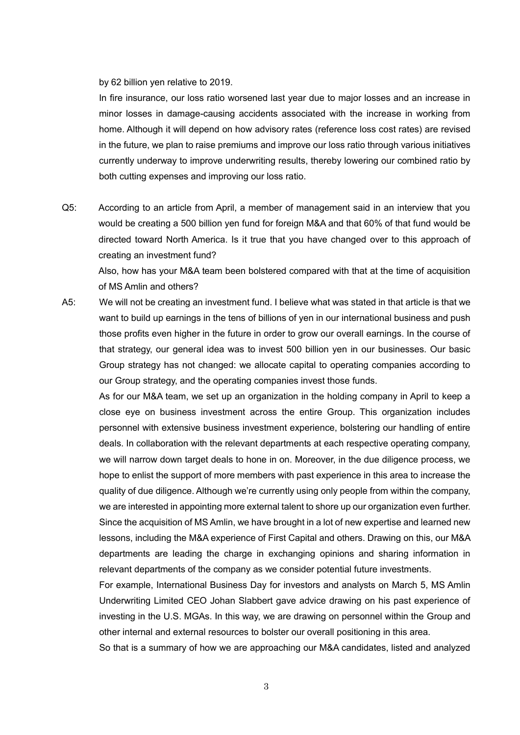by 62 billion yen relative to 2019.

In fire insurance, our loss ratio worsened last year due to major losses and an increase in minor losses in damage-causing accidents associated with the increase in working from home. Although it will depend on how advisory rates (reference loss cost rates) are revised in the future, we plan to raise premiums and improve our loss ratio through various initiatives currently underway to improve underwriting results, thereby lowering our combined ratio by both cutting expenses and improving our loss ratio.

Q5: According to an article from April, a member of management said in an interview that you would be creating a 500 billion yen fund for foreign M&A and that 60% of that fund would be directed toward North America. Is it true that you have changed over to this approach of creating an investment fund?

Also, how has your M&A team been bolstered compared with that at the time of acquisition of MS Amlin and others?

A5: We will not be creating an investment fund. I believe what was stated in that article is that we want to build up earnings in the tens of billions of yen in our international business and push those profits even higher in the future in order to grow our overall earnings. In the course of that strategy, our general idea was to invest 500 billion yen in our businesses. Our basic Group strategy has not changed: we allocate capital to operating companies according to our Group strategy, and the operating companies invest those funds.

As for our M&A team, we set up an organization in the holding company in April to keep a close eye on business investment across the entire Group. This organization includes personnel with extensive business investment experience, bolstering our handling of entire deals. In collaboration with the relevant departments at each respective operating company, we will narrow down target deals to hone in on. Moreover, in the due diligence process, we hope to enlist the support of more members with past experience in this area to increase the quality of due diligence. Although we're currently using only people from within the company, we are interested in appointing more external talent to shore up our organization even further. Since the acquisition of MS Amlin, we have brought in a lot of new expertise and learned new lessons, including the M&A experience of First Capital and others. Drawing on this, our M&A departments are leading the charge in exchanging opinions and sharing information in relevant departments of the company as we consider potential future investments.

For example, International Business Day for investors and analysts on March 5, MS Amlin Underwriting Limited CEO Johan Slabbert gave advice drawing on his past experience of investing in the U.S. MGAs. In this way, we are drawing on personnel within the Group and other internal and external resources to bolster our overall positioning in this area.

So that is a summary of how we are approaching our M&A candidates, listed and analyzed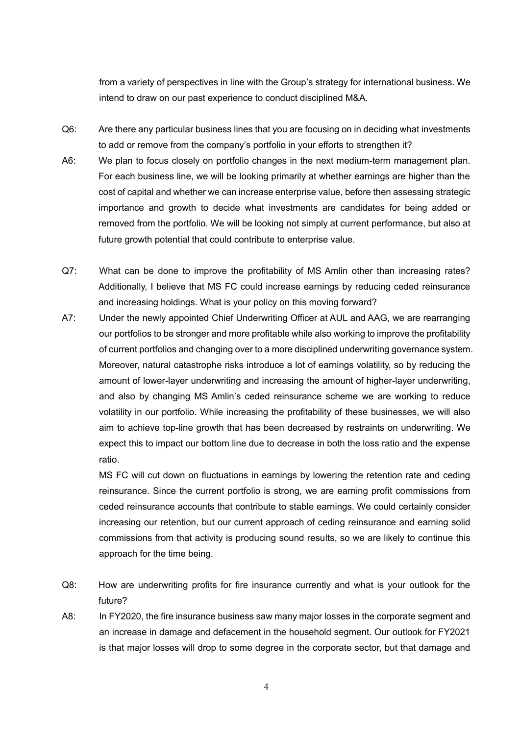from a variety of perspectives in line with the Group's strategy for international business. We intend to draw on our past experience to conduct disciplined M&A.

- Q6: Are there any particular business lines that you are focusing on in deciding what investments to add or remove from the company's portfolio in your efforts to strengthen it?
- A6: We plan to focus closely on portfolio changes in the next medium-term management plan. For each business line, we will be looking primarily at whether earnings are higher than the cost of capital and whether we can increase enterprise value, before then assessing strategic importance and growth to decide what investments are candidates for being added or removed from the portfolio. We will be looking not simply at current performance, but also at future growth potential that could contribute to enterprise value.
- Q7: What can be done to improve the profitability of MS Amlin other than increasing rates? Additionally, I believe that MS FC could increase earnings by reducing ceded reinsurance and increasing holdings. What is your policy on this moving forward?
- A7: Under the newly appointed Chief Underwriting Officer at AUL and AAG, we are rearranging our portfolios to be stronger and more profitable while also working to improve the profitability of current portfolios and changing over to a more disciplined underwriting governance system. Moreover, natural catastrophe risks introduce a lot of earnings volatility, so by reducing the amount of lower-layer underwriting and increasing the amount of higher-layer underwriting, and also by changing MS Amlin's ceded reinsurance scheme we are working to reduce volatility in our portfolio. While increasing the profitability of these businesses, we will also aim to achieve top-line growth that has been decreased by restraints on underwriting. We expect this to impact our bottom line due to decrease in both the loss ratio and the expense ratio.

MS FC will cut down on fluctuations in earnings by lowering the retention rate and ceding reinsurance. Since the current portfolio is strong, we are earning profit commissions from ceded reinsurance accounts that contribute to stable earnings. We could certainly consider increasing our retention, but our current approach of ceding reinsurance and earning solid commissions from that activity is producing sound results, so we are likely to continue this approach for the time being.

- Q8: How are underwriting profits for fire insurance currently and what is your outlook for the future?
- A8: In FY2020, the fire insurance business saw many major losses in the corporate segment and an increase in damage and defacement in the household segment. Our outlook for FY2021 is that major losses will drop to some degree in the corporate sector, but that damage and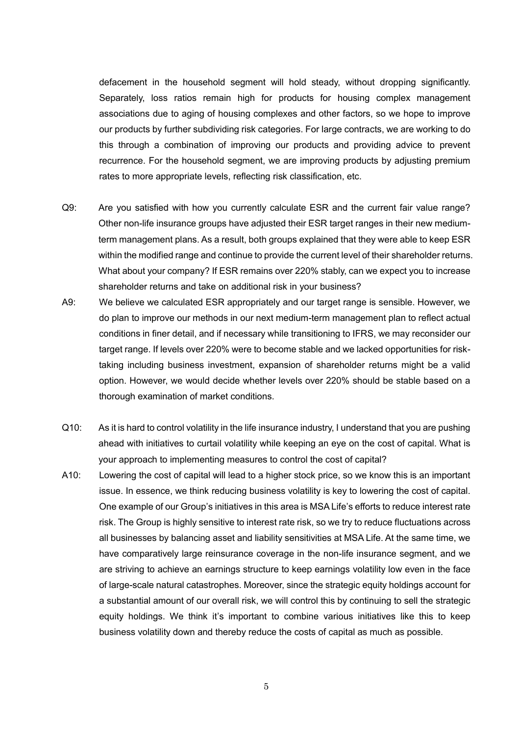defacement in the household segment will hold steady, without dropping significantly. Separately, loss ratios remain high for products for housing complex management associations due to aging of housing complexes and other factors, so we hope to improve our products by further subdividing risk categories. For large contracts, we are working to do this through a combination of improving our products and providing advice to prevent recurrence. For the household segment, we are improving products by adjusting premium rates to more appropriate levels, reflecting risk classification, etc.

- Q9: Are you satisfied with how you currently calculate ESR and the current fair value range? Other non-life insurance groups have adjusted their ESR target ranges in their new mediumterm management plans. As a result, both groups explained that they were able to keep ESR within the modified range and continue to provide the current level of their shareholder returns. What about your company? If ESR remains over 220% stably, can we expect you to increase shareholder returns and take on additional risk in your business?
- A9: We believe we calculated ESR appropriately and our target range is sensible. However, we do plan to improve our methods in our next medium-term management plan to reflect actual conditions in finer detail, and if necessary while transitioning to IFRS, we may reconsider our target range. If levels over 220% were to become stable and we lacked opportunities for risktaking including business investment, expansion of shareholder returns might be a valid option. However, we would decide whether levels over 220% should be stable based on a thorough examination of market conditions.
- Q10: As it is hard to control volatility in the life insurance industry, I understand that you are pushing ahead with initiatives to curtail volatility while keeping an eye on the cost of capital. What is your approach to implementing measures to control the cost of capital?
- A10: Lowering the cost of capital will lead to a higher stock price, so we know this is an important issue. In essence, we think reducing business volatility is key to lowering the cost of capital. One example of our Group's initiatives in this area is MSA Life's efforts to reduce interest rate risk. The Group is highly sensitive to interest rate risk, so we try to reduce fluctuations across all businesses by balancing asset and liability sensitivities at MSA Life. At the same time, we have comparatively large reinsurance coverage in the non-life insurance segment, and we are striving to achieve an earnings structure to keep earnings volatility low even in the face of large-scale natural catastrophes. Moreover, since the strategic equity holdings account for a substantial amount of our overall risk, we will control this by continuing to sell the strategic equity holdings. We think it's important to combine various initiatives like this to keep business volatility down and thereby reduce the costs of capital as much as possible.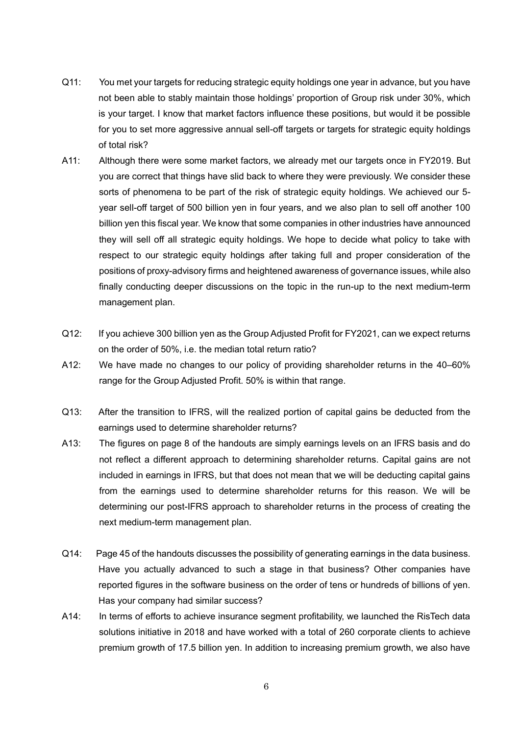- Q11: You met your targets for reducing strategic equity holdings one year in advance, but you have not been able to stably maintain those holdings' proportion of Group risk under 30%, which is your target. I know that market factors influence these positions, but would it be possible for you to set more aggressive annual sell-off targets or targets for strategic equity holdings of total risk?
- A11: Although there were some market factors, we already met our targets once in FY2019. But you are correct that things have slid back to where they were previously. We consider these sorts of phenomena to be part of the risk of strategic equity holdings. We achieved our 5 year sell-off target of 500 billion yen in four years, and we also plan to sell off another 100 billion yen this fiscal year. We know that some companies in other industries have announced they will sell off all strategic equity holdings. We hope to decide what policy to take with respect to our strategic equity holdings after taking full and proper consideration of the positions of proxy-advisory firms and heightened awareness of governance issues, while also finally conducting deeper discussions on the topic in the run-up to the next medium-term management plan.
- Q12: If you achieve 300 billion yen as the Group Adjusted Profit for FY2021, can we expect returns on the order of 50%, i.e. the median total return ratio?
- A12: We have made no changes to our policy of providing shareholder returns in the 40–60% range for the Group Adjusted Profit. 50% is within that range.
- Q13: After the transition to IFRS, will the realized portion of capital gains be deducted from the earnings used to determine shareholder returns?
- A13: The figures on page 8 of the handouts are simply earnings levels on an IFRS basis and do not reflect a different approach to determining shareholder returns. Capital gains are not included in earnings in IFRS, but that does not mean that we will be deducting capital gains from the earnings used to determine shareholder returns for this reason. We will be determining our post-IFRS approach to shareholder returns in the process of creating the next medium-term management plan.
- Q14: Page 45 of the handouts discusses the possibility of generating earnings in the data business. Have you actually advanced to such a stage in that business? Other companies have reported figures in the software business on the order of tens or hundreds of billions of yen. Has your company had similar success?
- A14: In terms of efforts to achieve insurance segment profitability, we launched the RisTech data solutions initiative in 2018 and have worked with a total of 260 corporate clients to achieve premium growth of 17.5 billion yen. In addition to increasing premium growth, we also have